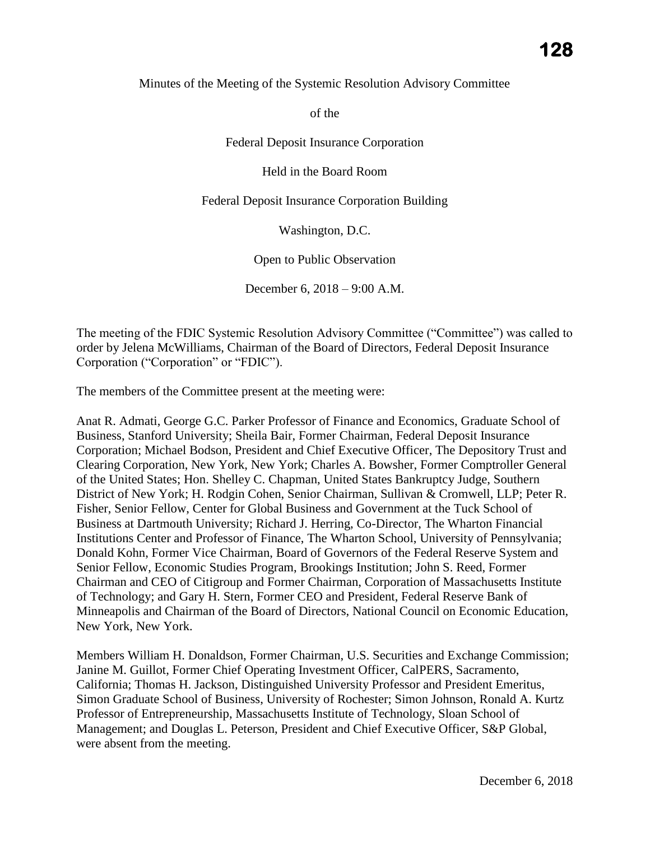Minutes of the Meeting of the Systemic Resolution Advisory Committee

of the

Federal Deposit Insurance Corporation

Held in the Board Room

Federal Deposit Insurance Corporation Building

Washington, D.C.

Open to Public Observation

December 6, 2018 – 9:00 A.M.

The meeting of the FDIC Systemic Resolution Advisory Committee ("Committee") was called to order by Jelena McWilliams, Chairman of the Board of Directors, Federal Deposit Insurance Corporation ("Corporation" or "FDIC").

The members of the Committee present at the meeting were:

 Business, Stanford University; Sheila Bair, Former Chairman, Federal Deposit Insurance Corporation; Michael Bodson, President and Chief Executive Officer, The Depository Trust and of Technology; and Gary H. Stern, Former CEO and President, Federal Reserve Bank of Anat R. Admati, George G.C. Parker Professor of Finance and Economics, Graduate School of Clearing Corporation, New York, New York; Charles A. Bowsher, Former Comptroller General of the United States; Hon. Shelley C. Chapman, United States Bankruptcy Judge, Southern District of New York; H. Rodgin Cohen, Senior Chairman, Sullivan & Cromwell, LLP; Peter R. Fisher, Senior Fellow, Center for Global Business and Government at the Tuck School of Business at Dartmouth University; Richard J. Herring, Co-Director, The Wharton Financial Institutions Center and Professor of Finance, The Wharton School, University of Pennsylvania; Donald Kohn, Former Vice Chairman, Board of Governors of the Federal Reserve System and Senior Fellow, Economic Studies Program, Brookings Institution; John S. Reed, Former Chairman and CEO of Citigroup and Former Chairman, Corporation of Massachusetts Institute Minneapolis and Chairman of the Board of Directors, National Council on Economic Education, New York, New York.

Members William H. Donaldson, Former Chairman, U.S. Securities and Exchange Commission; Janine M. Guillot, Former Chief Operating Investment Officer, CalPERS, Sacramento, California; Thomas H. Jackson, Distinguished University Professor and President Emeritus, Simon Graduate School of Business, University of Rochester; Simon Johnson, Ronald A. Kurtz Professor of Entrepreneurship, Massachusetts Institute of Technology, Sloan School of Management; and Douglas L. Peterson, President and Chief Executive Officer, S&P Global, were absent from the meeting.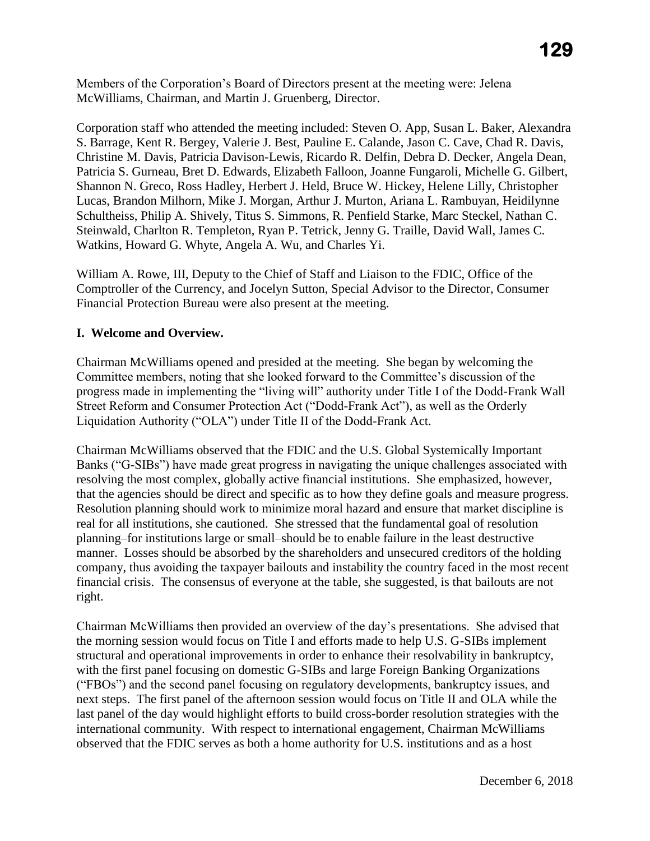Members of the Corporation's Board of Directors present at the meeting were: Jelena McWilliams, Chairman, and Martin J. Gruenberg, Director.

Corporation staff who attended the meeting included: Steven O. App, Susan L. Baker, Alexandra S. Barrage, Kent R. Bergey, Valerie J. Best, Pauline E. Calande, Jason C. Cave, Chad R. Davis, Christine M. Davis, Patricia Davison-Lewis, Ricardo R. Delfin, Debra D. Decker, Angela Dean, Patricia S. Gurneau, Bret D. Edwards, Elizabeth Falloon, Joanne Fungaroli, Michelle G. Gilbert, Shannon N. Greco, Ross Hadley, Herbert J. Held, Bruce W. Hickey, Helene Lilly, Christopher Lucas, Brandon Milhorn, Mike J. Morgan, Arthur J. Murton, Ariana L. Rambuyan, Heidilynne Schultheiss, Philip A. Shively, Titus S. Simmons, R. Penfield Starke, Marc Steckel, Nathan C. Steinwald, Charlton R. Templeton, Ryan P. Tetrick, Jenny G. Traille, David Wall, James C. Watkins, Howard G. Whyte, Angela A. Wu, and Charles Yi.

William A. Rowe, III, Deputy to the Chief of Staff and Liaison to the FDIC, Office of the Comptroller of the Currency, and Jocelyn Sutton, Special Advisor to the Director, Consumer Financial Protection Bureau were also present at the meeting.

# **I. Welcome and Overview.**

Chairman McWilliams opened and presided at the meeting. She began by welcoming the Committee members, noting that she looked forward to the Committee's discussion of the progress made in implementing the "living will" authority under Title I of the Dodd-Frank Wall Street Reform and Consumer Protection Act ("Dodd-Frank Act"), as well as the Orderly Liquidation Authority ("OLA") under Title II of the Dodd-Frank Act.

 Banks ("G-SIBs") have made great progress in navigating the unique challenges associated with Chairman McWilliams observed that the FDIC and the U.S. Global Systemically Important resolving the most complex, globally active financial institutions. She emphasized, however, that the agencies should be direct and specific as to how they define goals and measure progress. Resolution planning should work to minimize moral hazard and ensure that market discipline is real for all institutions, she cautioned. She stressed that the fundamental goal of resolution planning–for institutions large or small–should be to enable failure in the least destructive manner. Losses should be absorbed by the shareholders and unsecured creditors of the holding company, thus avoiding the taxpayer bailouts and instability the country faced in the most recent financial crisis. The consensus of everyone at the table, she suggested, is that bailouts are not right.

Chairman McWilliams then provided an overview of the day's presentations. She advised that the morning session would focus on Title I and efforts made to help U.S. G-SIBs implement structural and operational improvements in order to enhance their resolvability in bankruptcy, with the first panel focusing on domestic G-SIBs and large Foreign Banking Organizations ("FBOs") and the second panel focusing on regulatory developments, bankruptcy issues, and next steps. The first panel of the afternoon session would focus on Title II and OLA while the last panel of the day would highlight efforts to build cross-border resolution strategies with the international community. With respect to international engagement, Chairman McWilliams observed that the FDIC serves as both a home authority for U.S. institutions and as a host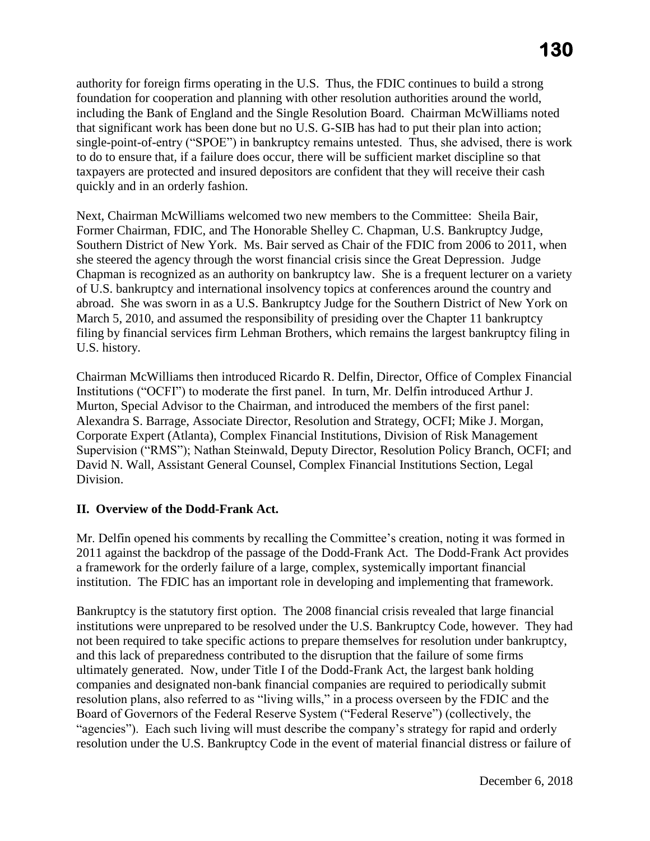quickly and in an orderly fashion. authority for foreign firms operating in the U.S. Thus, the FDIC continues to build a strong foundation for cooperation and planning with other resolution authorities around the world, including the Bank of England and the Single Resolution Board. Chairman McWilliams noted that significant work has been done but no U.S. G-SIB has had to put their plan into action; single-point-of-entry ("SPOE") in bankruptcy remains untested. Thus, she advised, there is work to do to ensure that, if a failure does occur, there will be sufficient market discipline so that taxpayers are protected and insured depositors are confident that they will receive their cash

 she steered the agency through the worst financial crisis since the Great Depression. Judge abroad. She was sworn in as a U.S. Bankruptcy Judge for the Southern District of New York on Next, Chairman McWilliams welcomed two new members to the Committee: Sheila Bair, Former Chairman, FDIC, and The Honorable Shelley C. Chapman, U.S. Bankruptcy Judge, Southern District of New York. Ms. Bair served as Chair of the FDIC from 2006 to 2011, when Chapman is recognized as an authority on bankruptcy law. She is a frequent lecturer on a variety of U.S. bankruptcy and international insolvency topics at conferences around the country and March 5, 2010, and assumed the responsibility of presiding over the Chapter 11 bankruptcy filing by financial services firm Lehman Brothers, which remains the largest bankruptcy filing in U.S. history.

Murton, Special Advisor to the Chairman, and introduced the members of the first panel: Chairman McWilliams then introduced Ricardo R. Delfin, Director, Office of Complex Financial Institutions ("OCFI") to moderate the first panel. In turn, Mr. Delfin introduced Arthur J. Alexandra S. Barrage, Associate Director, Resolution and Strategy, OCFI; Mike J. Morgan, Corporate Expert (Atlanta), Complex Financial Institutions, Division of Risk Management Supervision ("RMS"); Nathan Steinwald, Deputy Director, Resolution Policy Branch, OCFI; and David N. Wall, Assistant General Counsel, Complex Financial Institutions Section, Legal Division.

# **II. Overview of the Dodd-Frank Act.**

Mr. Delfin opened his comments by recalling the Committee's creation, noting it was formed in 2011 against the backdrop of the passage of the Dodd-Frank Act. The Dodd-Frank Act provides a framework for the orderly failure of a large, complex, systemically important financial institution. The FDIC has an important role in developing and implementing that framework.

Bankruptcy is the statutory first option. The 2008 financial crisis revealed that large financial institutions were unprepared to be resolved under the U.S. Bankruptcy Code, however. They had not been required to take specific actions to prepare themselves for resolution under bankruptcy, and this lack of preparedness contributed to the disruption that the failure of some firms ultimately generated. Now, under Title I of the Dodd-Frank Act, the largest bank holding companies and designated non-bank financial companies are required to periodically submit resolution plans, also referred to as "living wills," in a process overseen by the FDIC and the Board of Governors of the Federal Reserve System ("Federal Reserve") (collectively, the "agencies"). Each such living will must describe the company's strategy for rapid and orderly resolution under the U.S. Bankruptcy Code in the event of material financial distress or failure of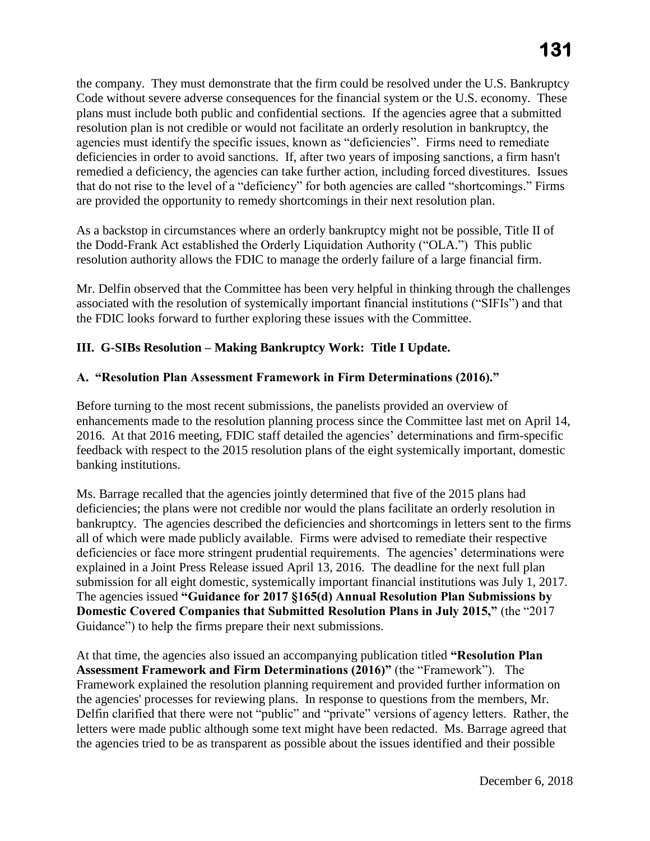the company. They must demonstrate that the firm could be resolved under the U.S. Bankruptcy Code without severe adverse consequences for the financial system or the U.S. economy. These plans must include both public and confidential sections. If the agencies agree that a submitted resolution plan is not credible or would not facilitate an orderly resolution in bankruptcy, the agencies must identify the specific issues, known as "deficiencies". Firms need to remediate deficiencies in order to avoid sanctions. If, after two years of imposing sanctions, a firm hasn't remedied a deficiency, the agencies can take further action, including forced divestitures. Issues that do not rise to the level of a "deficiency" for both agencies are called "shortcomings." Firms are provided the opportunity to remedy shortcomings in their next resolution plan.

 As a backstop in circumstances where an orderly bankruptcy might not be possible, Title II of the Dodd-Frank Act established the Orderly Liquidation Authority ("OLA.") This public resolution authority allows the FDIC to manage the orderly failure of a large financial firm.

Mr. Delfin observed that the Committee has been very helpful in thinking through the challenges associated with the resolution of systemically important financial institutions ("SIFIs") and that the FDIC looks forward to further exploring these issues with the Committee.

#### **III. G-SIBs Resolution – Making Bankruptcy Work: Title I Update.**

#### **A. "Resolution Plan Assessment Framework in Firm Determinations (2016)."**

Before turning to the most recent submissions, the panelists provided an overview of enhancements made to the resolution planning process since the Committee last met on April 14, 2016. At that 2016 meeting, FDIC staff detailed the agencies' determinations and firm-specific feedback with respect to the 2015 resolution plans of the eight systemically important, domestic banking institutions.

 all of which were made publicly available. Firms were advised to remediate their respective Ms. Barrage recalled that the agencies jointly determined that five of the 2015 plans had deficiencies; the plans were not credible nor would the plans facilitate an orderly resolution in bankruptcy. The agencies described the deficiencies and shortcomings in letters sent to the firms deficiencies or face more stringent prudential requirements. The agencies' determinations were explained in a Joint Press Release issued April 13, 2016. The deadline for the next full plan submission for all eight domestic, systemically important financial institutions was July 1, 2017. The agencies issued **"Guidance for 2017 §165(d) Annual Resolution Plan Submissions by Domestic Covered Companies that Submitted Resolution Plans in July 2015,"** (the "2017 Guidance") to help the firms prepare their next submissions.

 **Assessment Framework and Firm Determinations (2016)"** (the "Framework"). The At that time, the agencies also issued an accompanying publication titled **"Resolution Plan** Framework explained the resolution planning requirement and provided further information on the agencies' processes for reviewing plans. In response to questions from the members, Mr. Delfin clarified that there were not "public" and "private" versions of agency letters. Rather, the letters were made public although some text might have been redacted. Ms. Barrage agreed that the agencies tried to be as transparent as possible about the issues identified and their possible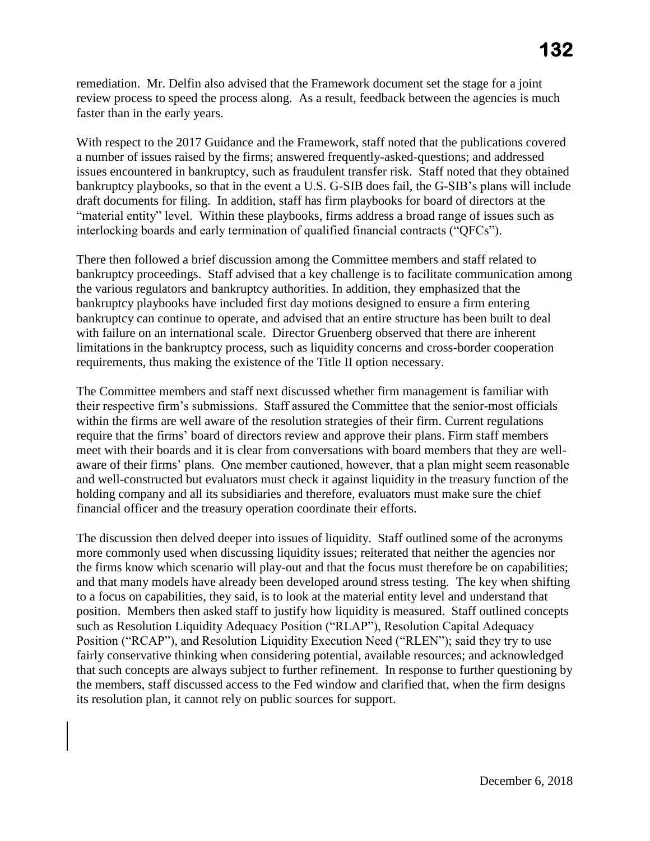faster than in the early years. remediation. Mr. Delfin also advised that the Framework document set the stage for a joint review process to speed the process along. As a result, feedback between the agencies is much

 bankruptcy playbooks, so that in the event a U.S. G-SIB does fail, the G-SIB's plans will include With respect to the 2017 Guidance and the Framework, staff noted that the publications covered a number of issues raised by the firms; answered frequently-asked-questions; and addressed issues encountered in bankruptcy, such as fraudulent transfer risk. Staff noted that they obtained draft documents for filing. In addition, staff has firm playbooks for board of directors at the "material entity" level. Within these playbooks, firms address a broad range of issues such as interlocking boards and early termination of qualified financial contracts ("QFCs").

 bankruptcy playbooks have included first day motions designed to ensure a firm entering requirements, thus making the existence of the Title II option necessary. There then followed a brief discussion among the Committee members and staff related to bankruptcy proceedings. Staff advised that a key challenge is to facilitate communication among the various regulators and bankruptcy authorities. In addition, they emphasized that the bankruptcy can continue to operate, and advised that an entire structure has been built to deal with failure on an international scale. Director Gruenberg observed that there are inherent limitations in the bankruptcy process, such as liquidity concerns and cross-border cooperation

 meet with their boards and it is clear from conversations with board members that they are well- holding company and all its subsidiaries and therefore, evaluators must make sure the chief financial officer and the treasury operation coordinate their efforts. The Committee members and staff next discussed whether firm management is familiar with their respective firm's submissions. Staff assured the Committee that the senior-most officials within the firms are well aware of the resolution strategies of their firm. Current regulations require that the firms' board of directors review and approve their plans. Firm staff members aware of their firms' plans. One member cautioned, however, that a plan might seem reasonable and well-constructed but evaluators must check it against liquidity in the treasury function of the

The discussion then delved deeper into issues of liquidity. Staff outlined some of the acronyms more commonly used when discussing liquidity issues; reiterated that neither the agencies nor the firms know which scenario will play-out and that the focus must therefore be on capabilities; and that many models have already been developed around stress testing. The key when shifting to a focus on capabilities, they said, is to look at the material entity level and understand that position. Members then asked staff to justify how liquidity is measured. Staff outlined concepts such as Resolution Liquidity Adequacy Position ("RLAP"), Resolution Capital Adequacy Position ("RCAP"), and Resolution Liquidity Execution Need ("RLEN"); said they try to use fairly conservative thinking when considering potential, available resources; and acknowledged that such concepts are always subject to further refinement. In response to further questioning by the members, staff discussed access to the Fed window and clarified that, when the firm designs its resolution plan, it cannot rely on public sources for support.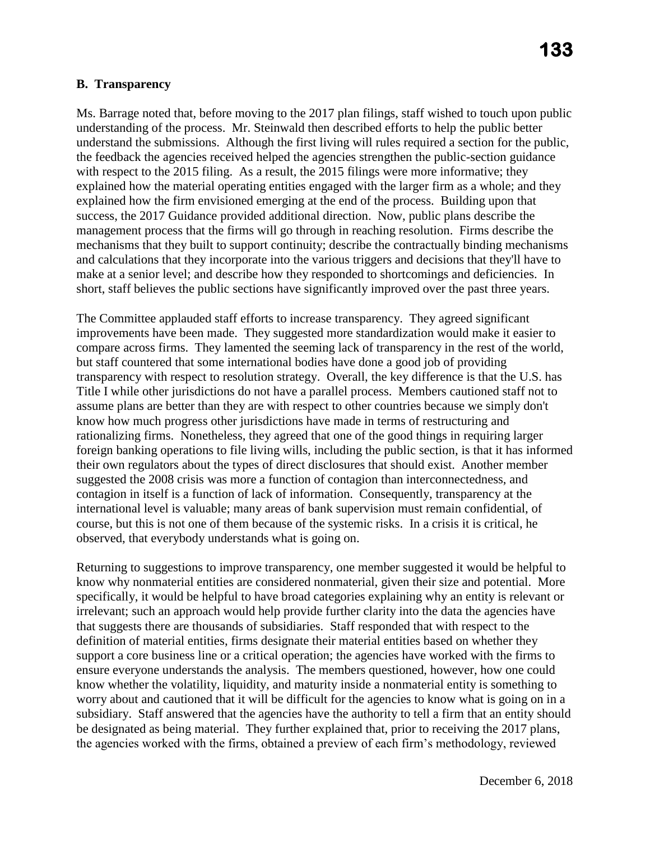#### **B. Transparency**

 short, staff believes the public sections have significantly improved over the past three years. Ms. Barrage noted that, before moving to the 2017 plan filings, staff wished to touch upon public understanding of the process. Mr. Steinwald then described efforts to help the public better understand the submissions. Although the first living will rules required a section for the public, the feedback the agencies received helped the agencies strengthen the public-section guidance with respect to the 2015 filing. As a result, the 2015 filings were more informative; they explained how the material operating entities engaged with the larger firm as a whole; and they explained how the firm envisioned emerging at the end of the process. Building upon that success, the 2017 Guidance provided additional direction. Now, public plans describe the management process that the firms will go through in reaching resolution. Firms describe the mechanisms that they built to support continuity; describe the contractually binding mechanisms and calculations that they incorporate into the various triggers and decisions that they'll have to make at a senior level; and describe how they responded to shortcomings and deficiencies. In

 but staff countered that some international bodies have done a good job of providing Title I while other jurisdictions do not have a parallel process. Members cautioned staff not to contagion in itself is a function of lack of information. Consequently, transparency at the The Committee applauded staff efforts to increase transparency. They agreed significant improvements have been made. They suggested more standardization would make it easier to compare across firms. They lamented the seeming lack of transparency in the rest of the world, transparency with respect to resolution strategy. Overall, the key difference is that the U.S. has assume plans are better than they are with respect to other countries because we simply don't know how much progress other jurisdictions have made in terms of restructuring and rationalizing firms. Nonetheless, they agreed that one of the good things in requiring larger foreign banking operations to file living wills, including the public section, is that it has informed their own regulators about the types of direct disclosures that should exist. Another member suggested the 2008 crisis was more a function of contagion than interconnectedness, and international level is valuable; many areas of bank supervision must remain confidential, of course, but this is not one of them because of the systemic risks. In a crisis it is critical, he observed, that everybody understands what is going on.

 irrelevant; such an approach would help provide further clarity into the data the agencies have be designated as being material. They further explained that, prior to receiving the 2017 plans, Returning to suggestions to improve transparency, one member suggested it would be helpful to know why nonmaterial entities are considered nonmaterial, given their size and potential. More specifically, it would be helpful to have broad categories explaining why an entity is relevant or that suggests there are thousands of subsidiaries. Staff responded that with respect to the definition of material entities, firms designate their material entities based on whether they support a core business line or a critical operation; the agencies have worked with the firms to ensure everyone understands the analysis. The members questioned, however, how one could know whether the volatility, liquidity, and maturity inside a nonmaterial entity is something to worry about and cautioned that it will be difficult for the agencies to know what is going on in a subsidiary. Staff answered that the agencies have the authority to tell a firm that an entity should the agencies worked with the firms, obtained a preview of each firm's methodology, reviewed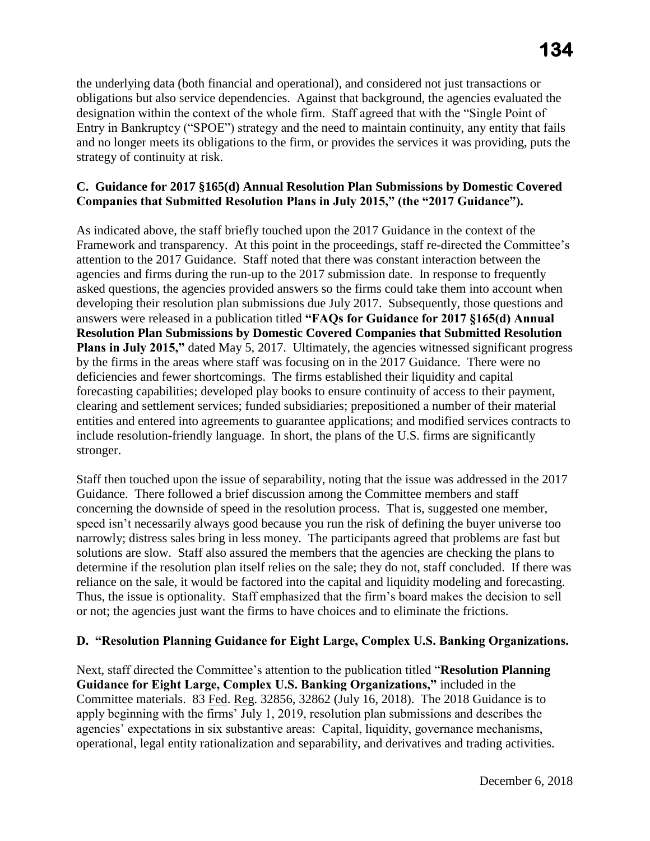strategy of continuity at risk. the underlying data (both financial and operational), and considered not just transactions or obligations but also service dependencies. Against that background, the agencies evaluated the designation within the context of the whole firm. Staff agreed that with the "Single Point of Entry in Bankruptcy ("SPOE") strategy and the need to maintain continuity, any entity that fails and no longer meets its obligations to the firm, or provides the services it was providing, puts the

#### **C. Guidance for 2017 §165(d) Annual Resolution Plan Submissions by Domestic Covered Companies that Submitted Resolution Plans in July 2015," (the "2017 Guidance").**

 include resolution-friendly language. In short, the plans of the U.S. firms are significantly As indicated above, the staff briefly touched upon the 2017 Guidance in the context of the Framework and transparency. At this point in the proceedings, staff re-directed the Committee's attention to the 2017 Guidance. Staff noted that there was constant interaction between the agencies and firms during the run-up to the 2017 submission date. In response to frequently asked questions, the agencies provided answers so the firms could take them into account when developing their resolution plan submissions due July 2017. Subsequently, those questions and answers were released in a publication titled **"FAQs for Guidance for 2017 §165(d) Annual Resolution Plan Submissions by Domestic Covered Companies that Submitted Resolution Plans in July 2015,"** dated May 5, 2017. Ultimately, the agencies witnessed significant progress by the firms in the areas where staff was focusing on in the 2017 Guidance. There were no deficiencies and fewer shortcomings. The firms established their liquidity and capital forecasting capabilities; developed play books to ensure continuity of access to their payment, clearing and settlement services; funded subsidiaries; prepositioned a number of their material entities and entered into agreements to guarantee applications; and modified services contracts to stronger.

 narrowly; distress sales bring in less money. The participants agreed that problems are fast but Staff then touched upon the issue of separability, noting that the issue was addressed in the 2017 Guidance. There followed a brief discussion among the Committee members and staff concerning the downside of speed in the resolution process. That is, suggested one member, speed isn't necessarily always good because you run the risk of defining the buyer universe too solutions are slow. Staff also assured the members that the agencies are checking the plans to determine if the resolution plan itself relies on the sale; they do not, staff concluded. If there was reliance on the sale, it would be factored into the capital and liquidity modeling and forecasting. Thus, the issue is optionality. Staff emphasized that the firm's board makes the decision to sell or not; the agencies just want the firms to have choices and to eliminate the frictions.

# **D. "Resolution Planning Guidance for Eight Large, Complex U.S. Banking Organizations.**

Next, staff directed the Committee's attention to the publication titled "**Resolution Planning Guidance for Eight Large, Complex U.S. Banking Organizations,"** included in the Committee materials. 83 Fed. Reg. 32856, 32862 (July 16, 2018). The 2018 Guidance is to apply beginning with the firms' July 1, 2019, resolution plan submissions and describes the agencies' expectations in six substantive areas: Capital, liquidity, governance mechanisms, operational, legal entity rationalization and separability, and derivatives and trading activities.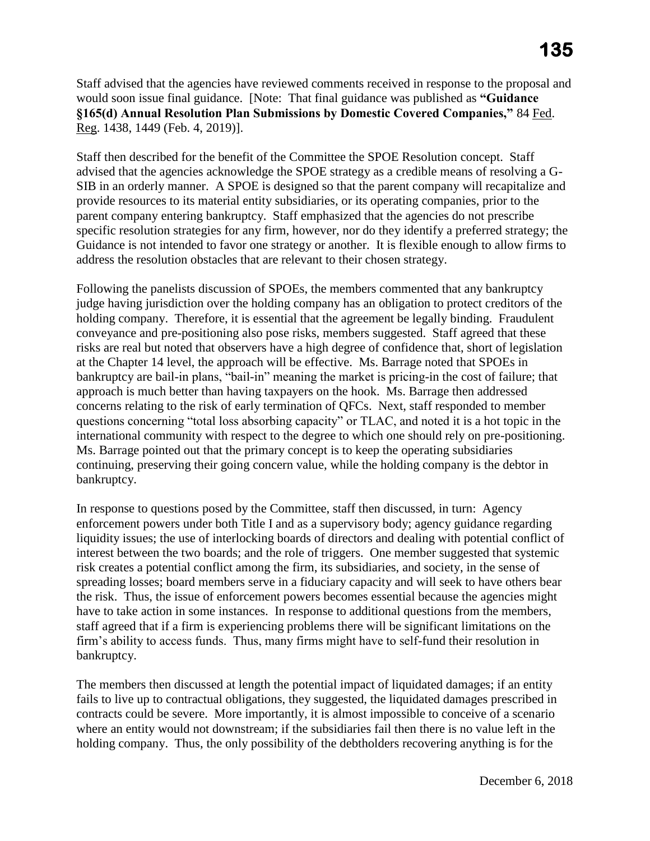Staff advised that the agencies have reviewed comments received in response to the proposal and would soon issue final guidance. [Note: That final guidance was published as **"Guidance §165(d) Annual Resolution Plan Submissions by Domestic Covered Companies,"** 84 Fed. Reg. 1438, 1449 (Feb. 4, 2019)].

 parent company entering bankruptcy. Staff emphasized that the agencies do not prescribe specific resolution strategies for any firm, however, nor do they identify a preferred strategy; the Staff then described for the benefit of the Committee the SPOE Resolution concept. Staff advised that the agencies acknowledge the SPOE strategy as a credible means of resolving a G-SIB in an orderly manner. A SPOE is designed so that the parent company will recapitalize and provide resources to its material entity subsidiaries, or its operating companies, prior to the Guidance is not intended to favor one strategy or another. It is flexible enough to allow firms to address the resolution obstacles that are relevant to their chosen strategy.

 judge having jurisdiction over the holding company has an obligation to protect creditors of the Following the panelists discussion of SPOEs, the members commented that any bankruptcy holding company. Therefore, it is essential that the agreement be legally binding. Fraudulent conveyance and pre-positioning also pose risks, members suggested. Staff agreed that these risks are real but noted that observers have a high degree of confidence that, short of legislation at the Chapter 14 level, the approach will be effective. Ms. Barrage noted that SPOEs in bankruptcy are bail-in plans, "bail-in" meaning the market is pricing-in the cost of failure; that approach is much better than having taxpayers on the hook. Ms. Barrage then addressed concerns relating to the risk of early termination of QFCs. Next, staff responded to member questions concerning "total loss absorbing capacity" or TLAC, and noted it is a hot topic in the international community with respect to the degree to which one should rely on pre-positioning. Ms. Barrage pointed out that the primary concept is to keep the operating subsidiaries continuing, preserving their going concern value, while the holding company is the debtor in bankruptcy.

In response to questions posed by the Committee, staff then discussed, in turn: Agency enforcement powers under both Title I and as a supervisory body; agency guidance regarding liquidity issues; the use of interlocking boards of directors and dealing with potential conflict of interest between the two boards; and the role of triggers. One member suggested that systemic risk creates a potential conflict among the firm, its subsidiaries, and society, in the sense of spreading losses; board members serve in a fiduciary capacity and will seek to have others bear the risk. Thus, the issue of enforcement powers becomes essential because the agencies might have to take action in some instances. In response to additional questions from the members, staff agreed that if a firm is experiencing problems there will be significant limitations on the firm's ability to access funds. Thus, many firms might have to self-fund their resolution in bankruptcy.

 where an entity would not downstream; if the subsidiaries fail then there is no value left in the The members then discussed at length the potential impact of liquidated damages; if an entity fails to live up to contractual obligations, they suggested, the liquidated damages prescribed in contracts could be severe. More importantly, it is almost impossible to conceive of a scenario holding company. Thus, the only possibility of the debtholders recovering anything is for the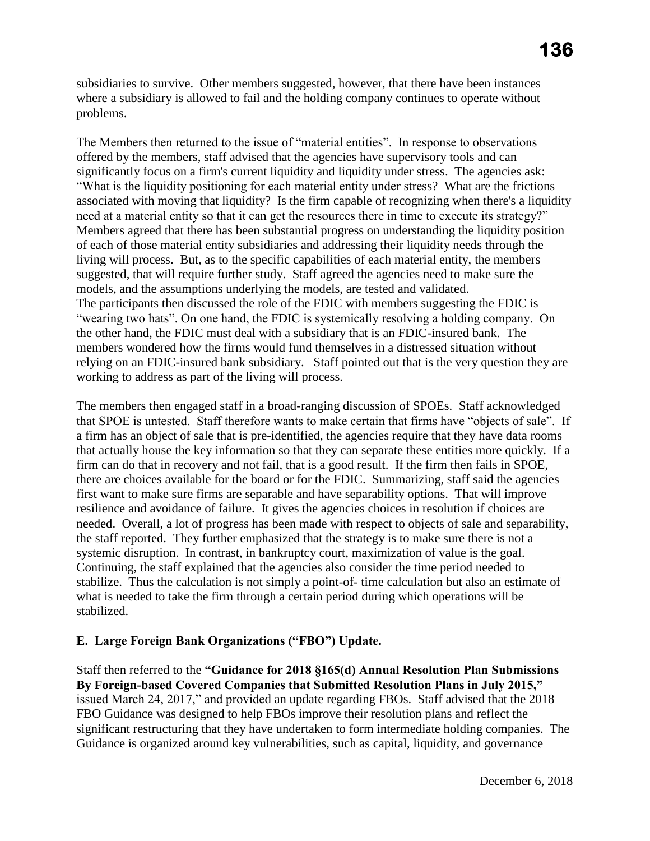subsidiaries to survive. Other members suggested, however, that there have been instances where a subsidiary is allowed to fail and the holding company continues to operate without problems.

 associated with moving that liquidity? Is the firm capable of recognizing when there's a liquidity need at a material entity so that it can get the resources there in time to execute its strategy?" The Members then returned to the issue of "material entities". In response to observations offered by the members, staff advised that the agencies have supervisory tools and can significantly focus on a firm's current liquidity and liquidity under stress. The agencies ask: "What is the liquidity positioning for each material entity under stress? What are the frictions Members agreed that there has been substantial progress on understanding the liquidity position of each of those material entity subsidiaries and addressing their liquidity needs through the living will process. But, as to the specific capabilities of each material entity, the members suggested, that will require further study. Staff agreed the agencies need to make sure the models, and the assumptions underlying the models, are tested and validated. The participants then discussed the role of the FDIC with members suggesting the FDIC is "wearing two hats". On one hand, the FDIC is systemically resolving a holding company. On the other hand, the FDIC must deal with a subsidiary that is an FDIC-insured bank. The members wondered how the firms would fund themselves in a distressed situation without relying on an FDIC-insured bank subsidiary. Staff pointed out that is the very question they are working to address as part of the living will process.

 that actually house the key information so that they can separate these entities more quickly. If a The members then engaged staff in a broad-ranging discussion of SPOEs. Staff acknowledged that SPOE is untested. Staff therefore wants to make certain that firms have "objects of sale". If a firm has an object of sale that is pre-identified, the agencies require that they have data rooms firm can do that in recovery and not fail, that is a good result. If the firm then fails in SPOE, there are choices available for the board or for the FDIC. Summarizing, staff said the agencies first want to make sure firms are separable and have separability options. That will improve resilience and avoidance of failure. It gives the agencies choices in resolution if choices are needed. Overall, a lot of progress has been made with respect to objects of sale and separability, the staff reported. They further emphasized that the strategy is to make sure there is not a systemic disruption. In contrast, in bankruptcy court, maximization of value is the goal. Continuing, the staff explained that the agencies also consider the time period needed to stabilize. Thus the calculation is not simply a point-of- time calculation but also an estimate of what is needed to take the firm through a certain period during which operations will be stabilized.

# **E. Large Foreign Bank Organizations ("FBO") Update.**

Staff then referred to the **"Guidance for 2018 §165(d) Annual Resolution Plan Submissions By Foreign-based Covered Companies that Submitted Resolution Plans in July 2015,"**  issued March 24, 2017," and provided an update regarding FBOs. Staff advised that the 2018 FBO Guidance was designed to help FBOs improve their resolution plans and reflect the significant restructuring that they have undertaken to form intermediate holding companies. The Guidance is organized around key vulnerabilities, such as capital, liquidity, and governance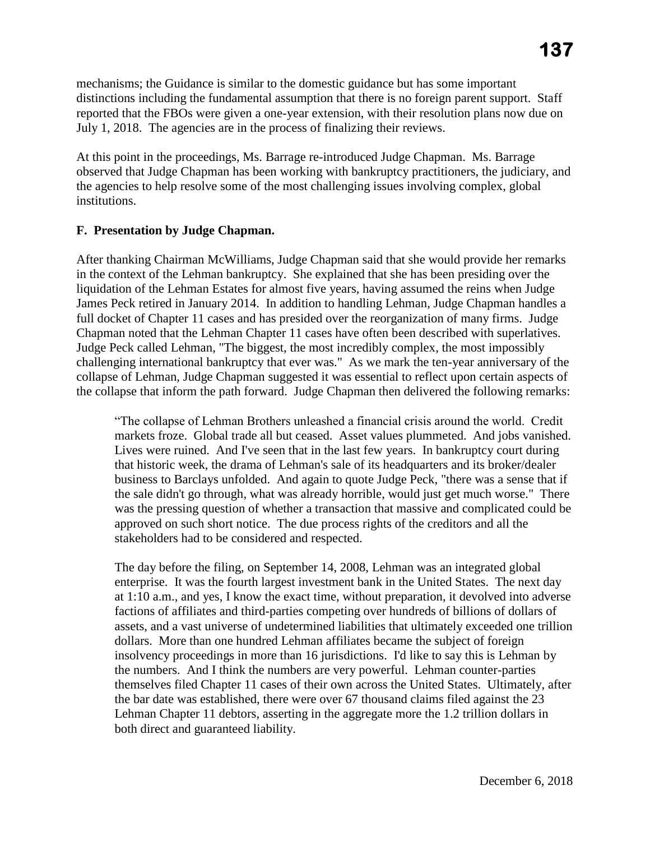mechanisms; the Guidance is similar to the domestic guidance but has some important distinctions including the fundamental assumption that there is no foreign parent support. Staff reported that the FBOs were given a one-year extension, with their resolution plans now due on July 1, 2018. The agencies are in the process of finalizing their reviews.

 At this point in the proceedings, Ms. Barrage re-introduced Judge Chapman. Ms. Barrage observed that Judge Chapman has been working with bankruptcy practitioners, the judiciary, and the agencies to help resolve some of the most challenging issues involving complex, global institutions.

# **F. Presentation by Judge Chapman.**

After thanking Chairman McWilliams, Judge Chapman said that she would provide her remarks in the context of the Lehman bankruptcy. She explained that she has been presiding over the liquidation of the Lehman Estates for almost five years, having assumed the reins when Judge James Peck retired in January 2014. In addition to handling Lehman, Judge Chapman handles a full docket of Chapter 11 cases and has presided over the reorganization of many firms. Judge Chapman noted that the Lehman Chapter 11 cases have often been described with superlatives. Judge Peck called Lehman, "The biggest, the most incredibly complex, the most impossibly challenging international bankruptcy that ever was." As we mark the ten-year anniversary of the collapse of Lehman, Judge Chapman suggested it was essential to reflect upon certain aspects of the collapse that inform the path forward. Judge Chapman then delivered the following remarks:

 Lives were ruined. And I've seen that in the last few years. In bankruptcy court during "The collapse of Lehman Brothers unleashed a financial crisis around the world. Credit markets froze. Global trade all but ceased. Asset values plummeted. And jobs vanished. that historic week, the drama of Lehman's sale of its headquarters and its broker/dealer business to Barclays unfolded. And again to quote Judge Peck, "there was a sense that if the sale didn't go through, what was already horrible, would just get much worse." There was the pressing question of whether a transaction that massive and complicated could be approved on such short notice. The due process rights of the creditors and all the stakeholders had to be considered and respected.

 insolvency proceedings in more than 16 jurisdictions. I'd like to say this is Lehman by The day before the filing, on September 14, 2008, Lehman was an integrated global enterprise. It was the fourth largest investment bank in the United States. The next day at 1:10 a.m., and yes, I know the exact time, without preparation, it devolved into adverse factions of affiliates and third-parties competing over hundreds of billions of dollars of assets, and a vast universe of undetermined liabilities that ultimately exceeded one trillion dollars. More than one hundred Lehman affiliates became the subject of foreign the numbers. And I think the numbers are very powerful. Lehman counter-parties themselves filed Chapter 11 cases of their own across the United States. Ultimately, after the bar date was established, there were over 67 thousand claims filed against the 23 Lehman Chapter 11 debtors, asserting in the aggregate more the 1.2 trillion dollars in both direct and guaranteed liability.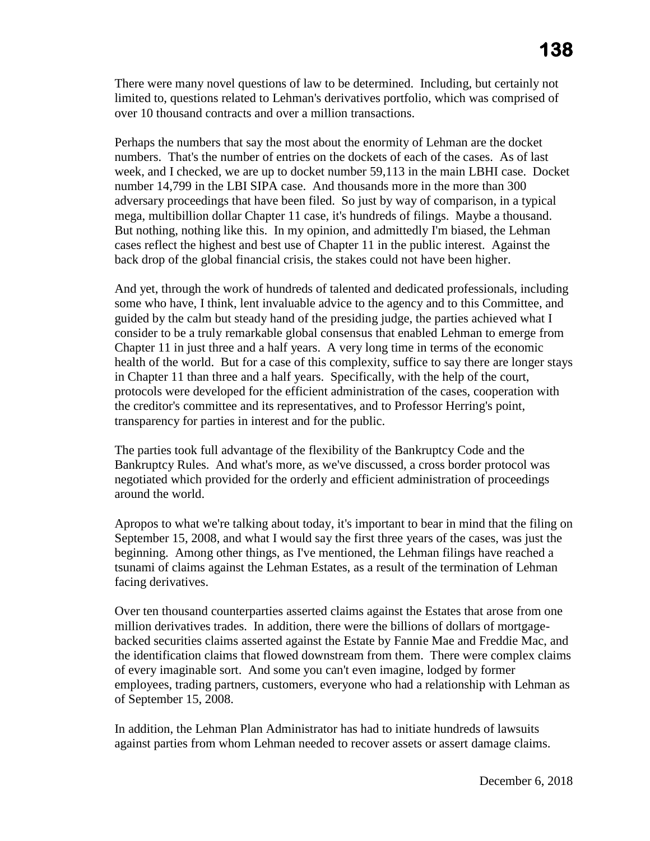There were many novel questions of law to be determined. Including, but certainly not limited to, questions related to Lehman's derivatives portfolio, which was comprised of over 10 thousand contracts and over a million transactions.

Perhaps the numbers that say the most about the enormity of Lehman are the docket numbers. That's the number of entries on the dockets of each of the cases. As of last week, and I checked, we are up to docket number 59,113 in the main LBHI case. Docket number 14,799 in the LBI SIPA case. And thousands more in the more than 300 adversary proceedings that have been filed. So just by way of comparison, in a typical mega, multibillion dollar Chapter 11 case, it's hundreds of filings. Maybe a thousand. But nothing, nothing like this. In my opinion, and admittedly I'm biased, the Lehman cases reflect the highest and best use of Chapter 11 in the public interest. Against the back drop of the global financial crisis, the stakes could not have been higher.

And yet, through the work of hundreds of talented and dedicated professionals, including some who have, I think, lent invaluable advice to the agency and to this Committee, and guided by the calm but steady hand of the presiding judge, the parties achieved what I consider to be a truly remarkable global consensus that enabled Lehman to emerge from Chapter 11 in just three and a half years. A very long time in terms of the economic health of the world. But for a case of this complexity, suffice to say there are longer stays in Chapter 11 than three and a half years. Specifically, with the help of the court, protocols were developed for the efficient administration of the cases, cooperation with the creditor's committee and its representatives, and to Professor Herring's point, transparency for parties in interest and for the public.

The parties took full advantage of the flexibility of the Bankruptcy Code and the Bankruptcy Rules. And what's more, as we've discussed, a cross border protocol was negotiated which provided for the orderly and efficient administration of proceedings around the world.

Apropos to what we're talking about today, it's important to bear in mind that the filing on September 15, 2008, and what I would say the first three years of the cases, was just the beginning. Among other things, as I've mentioned, the Lehman filings have reached a tsunami of claims against the Lehman Estates, as a result of the termination of Lehman facing derivatives.

 backed securities claims asserted against the Estate by Fannie Mae and Freddie Mac, and of every imaginable sort. And some you can't even imagine, lodged by former Over ten thousand counterparties asserted claims against the Estates that arose from one million derivatives trades. In addition, there were the billions of dollars of mortgagethe identification claims that flowed downstream from them. There were complex claims employees, trading partners, customers, everyone who had a relationship with Lehman as of September 15, 2008.

In addition, the Lehman Plan Administrator has had to initiate hundreds of lawsuits against parties from whom Lehman needed to recover assets or assert damage claims.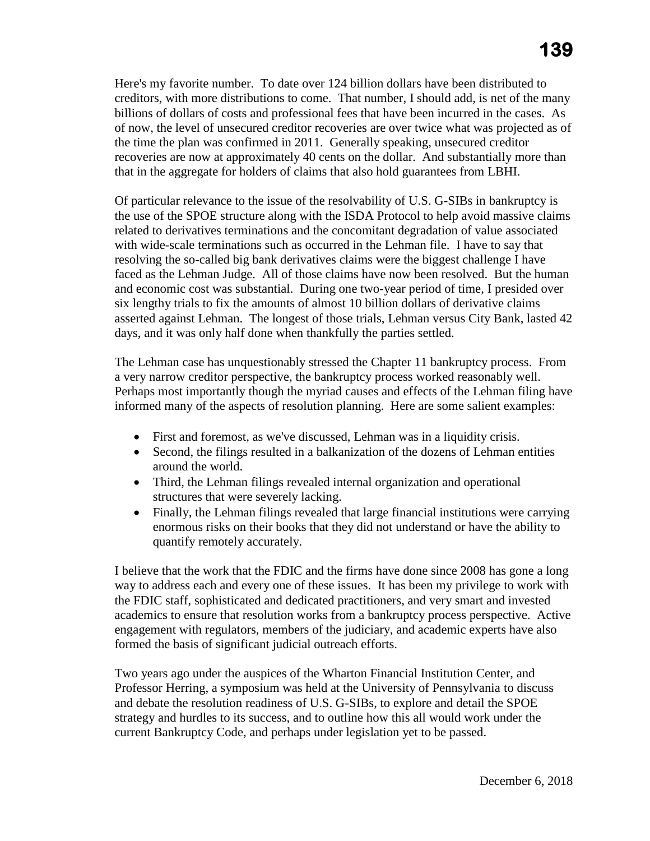Here's my favorite number. To date over 124 billion dollars have been distributed to creditors, with more distributions to come. That number, I should add, is net of the many billions of dollars of costs and professional fees that have been incurred in the cases. As of now, the level of unsecured creditor recoveries are over twice what was projected as of the time the plan was confirmed in 2011. Generally speaking, unsecured creditor recoveries are now at approximately 40 cents on the dollar. And substantially more than that in the aggregate for holders of claims that also hold guarantees from LBHI.

 resolving the so-called big bank derivatives claims were the biggest challenge I have Of particular relevance to the issue of the resolvability of U.S. G-SIBs in bankruptcy is the use of the SPOE structure along with the ISDA Protocol to help avoid massive claims related to derivatives terminations and the concomitant degradation of value associated with wide-scale terminations such as occurred in the Lehman file. I have to say that faced as the Lehman Judge. All of those claims have now been resolved. But the human and economic cost was substantial. During one two-year period of time, I presided over six lengthy trials to fix the amounts of almost 10 billion dollars of derivative claims asserted against Lehman. The longest of those trials, Lehman versus City Bank, lasted 42 days, and it was only half done when thankfully the parties settled.

The Lehman case has unquestionably stressed the Chapter 11 bankruptcy process. From a very narrow creditor perspective, the bankruptcy process worked reasonably well. Perhaps most importantly though the myriad causes and effects of the Lehman filing have informed many of the aspects of resolution planning. Here are some salient examples:

- First and foremost, as we've discussed, Lehman was in a liquidity crisis.
- Second, the filings resulted in a balkanization of the dozens of Lehman entities around the world.
- Third, the Lehman filings revealed internal organization and operational structures that were severely lacking.
- Finally, the Lehman filings revealed that large financial institutions were carrying enormous risks on their books that they did not understand or have the ability to quantify remotely accurately.

 way to address each and every one of these issues. It has been my privilege to work with formed the basis of significant judicial outreach efforts. I believe that the work that the FDIC and the firms have done since 2008 has gone a long the FDIC staff, sophisticated and dedicated practitioners, and very smart and invested academics to ensure that resolution works from a bankruptcy process perspective. Active engagement with regulators, members of the judiciary, and academic experts have also

Two years ago under the auspices of the Wharton Financial Institution Center, and Professor Herring, a symposium was held at the University of Pennsylvania to discuss and debate the resolution readiness of U.S. G-SIBs, to explore and detail the SPOE strategy and hurdles to its success, and to outline how this all would work under the current Bankruptcy Code, and perhaps under legislation yet to be passed.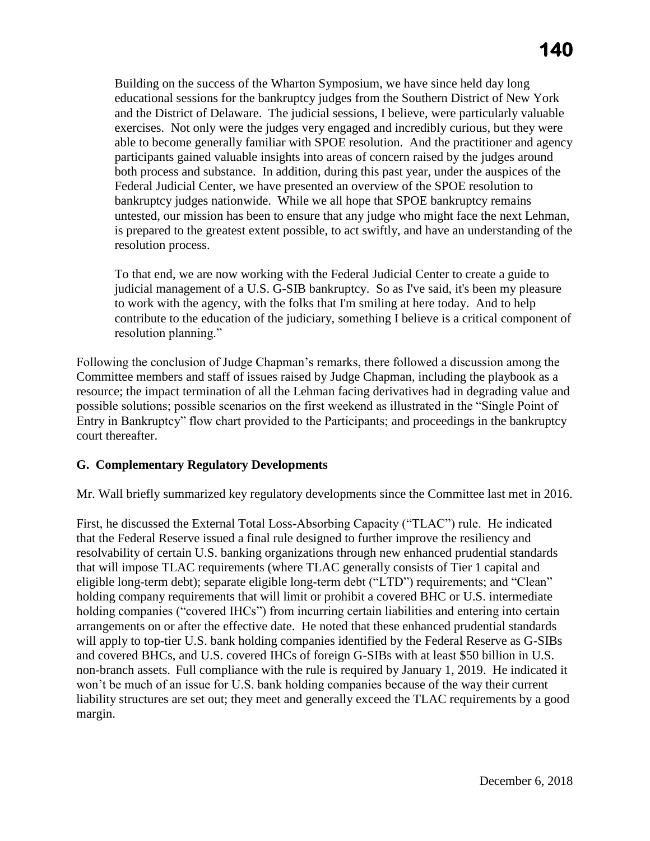Building on the success of the Wharton Symposium, we have since held day long educational sessions for the bankruptcy judges from the Southern District of New York and the District of Delaware. The judicial sessions, I believe, were particularly valuable exercises. Not only were the judges very engaged and incredibly curious, but they were able to become generally familiar with SPOE resolution. And the practitioner and agency participants gained valuable insights into areas of concern raised by the judges around both process and substance. In addition, during this past year, under the auspices of the Federal Judicial Center, we have presented an overview of the SPOE resolution to bankruptcy judges nationwide. While we all hope that SPOE bankruptcy remains untested, our mission has been to ensure that any judge who might face the next Lehman, is prepared to the greatest extent possible, to act swiftly, and have an understanding of the resolution process.

 contribute to the education of the judiciary, something I believe is a critical component of To that end, we are now working with the Federal Judicial Center to create a guide to judicial management of a U.S. G-SIB bankruptcy. So as I've said, it's been my pleasure to work with the agency, with the folks that I'm smiling at here today. And to help resolution planning."

Following the conclusion of Judge Chapman's remarks, there followed a discussion among the Committee members and staff of issues raised by Judge Chapman, including the playbook as a resource; the impact termination of all the Lehman facing derivatives had in degrading value and possible solutions; possible scenarios on the first weekend as illustrated in the "Single Point of Entry in Bankruptcy" flow chart provided to the Participants; and proceedings in the bankruptcy court thereafter.

# **G. Complementary Regulatory Developments**

Mr. Wall briefly summarized key regulatory developments since the Committee last met in 2016.

 non-branch assets. Full compliance with the rule is required by January 1, 2019. He indicated it liability structures are set out; they meet and generally exceed the TLAC requirements by a good First, he discussed the External Total Loss-Absorbing Capacity ("TLAC") rule. He indicated that the Federal Reserve issued a final rule designed to further improve the resiliency and resolvability of certain U.S. banking organizations through new enhanced prudential standards that will impose TLAC requirements (where TLAC generally consists of Tier 1 capital and eligible long-term debt); separate eligible long-term debt ("LTD") requirements; and "Clean" holding company requirements that will limit or prohibit a covered BHC or U.S. intermediate holding companies ("covered IHCs") from incurring certain liabilities and entering into certain arrangements on or after the effective date. He noted that these enhanced prudential standards will apply to top-tier U.S. bank holding companies identified by the Federal Reserve as G-SIBs and covered BHCs, and U.S. covered IHCs of foreign G-SIBs with at least \$50 billion in U.S. won't be much of an issue for U.S. bank holding companies because of the way their current margin.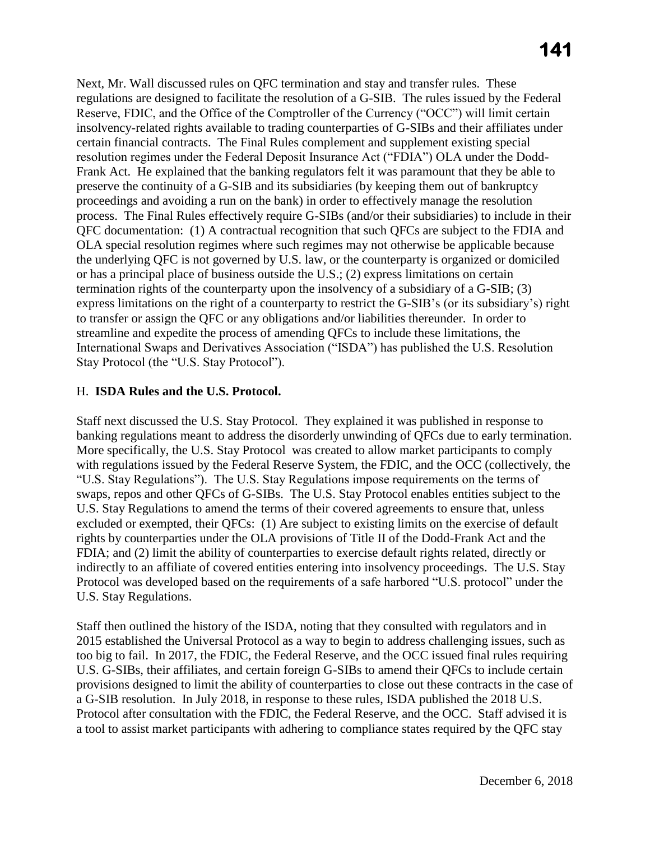the underlying QFC is not governed by U.S. law, or the counterparty is organized or domiciled Next, Mr. Wall discussed rules on QFC termination and stay and transfer rules. These regulations are designed to facilitate the resolution of a G-SIB. The rules issued by the Federal Reserve, FDIC, and the Office of the Comptroller of the Currency ("OCC") will limit certain insolvency-related rights available to trading counterparties of G-SIBs and their affiliates under certain financial contracts. The Final Rules complement and supplement existing special resolution regimes under the Federal Deposit Insurance Act ("FDIA") OLA under the Dodd-Frank Act. He explained that the banking regulators felt it was paramount that they be able to preserve the continuity of a G-SIB and its subsidiaries (by keeping them out of bankruptcy proceedings and avoiding a run on the bank) in order to effectively manage the resolution process. The Final Rules effectively require G-SIBs (and/or their subsidiaries) to include in their QFC documentation: (1) A contractual recognition that such QFCs are subject to the FDIA and OLA special resolution regimes where such regimes may not otherwise be applicable because or has a principal place of business outside the U.S.; (2) express limitations on certain termination rights of the counterparty upon the insolvency of a subsidiary of a G-SIB; (3) express limitations on the right of a counterparty to restrict the G-SIB's (or its subsidiary's) right to transfer or assign the QFC or any obligations and/or liabilities thereunder. In order to streamline and expedite the process of amending QFCs to include these limitations, the International Swaps and Derivatives Association ("ISDA") has published the U.S. Resolution Stay Protocol (the "U.S. Stay Protocol").

#### H. **ISDA Rules and the U.S. Protocol.**

Staff next discussed the U.S. Stay Protocol. They explained it was published in response to banking regulations meant to address the disorderly unwinding of QFCs due to early termination. More specifically, the U.S. Stay Protocol was created to allow market participants to comply with regulations issued by the Federal Reserve System, the FDIC, and the OCC (collectively, the "U.S. Stay Regulations"). The U.S. Stay Regulations impose requirements on the terms of swaps, repos and other QFCs of G-SIBs. The U.S. Stay Protocol enables entities subject to the U.S. Stay Regulations to amend the terms of their covered agreements to ensure that, unless excluded or exempted, their QFCs: (1) Are subject to existing limits on the exercise of default rights by counterparties under the OLA provisions of Title II of the Dodd-Frank Act and the FDIA; and (2) limit the ability of counterparties to exercise default rights related, directly or indirectly to an affiliate of covered entities entering into insolvency proceedings. The U.S. Stay Protocol was developed based on the requirements of a safe harbored "U.S. protocol" under the U.S. Stay Regulations.

 2015 established the Universal Protocol as a way to begin to address challenging issues, such as Staff then outlined the history of the ISDA, noting that they consulted with regulators and in too big to fail. In 2017, the FDIC, the Federal Reserve, and the OCC issued final rules requiring U.S. G-SIBs, their affiliates, and certain foreign G-SIBs to amend their QFCs to include certain provisions designed to limit the ability of counterparties to close out these contracts in the case of a G-SIB resolution. In July 2018, in response to these rules, ISDA published the 2018 U.S. Protocol after consultation with the FDIC, the Federal Reserve, and the OCC. Staff advised it is a tool to assist market participants with adhering to compliance states required by the QFC stay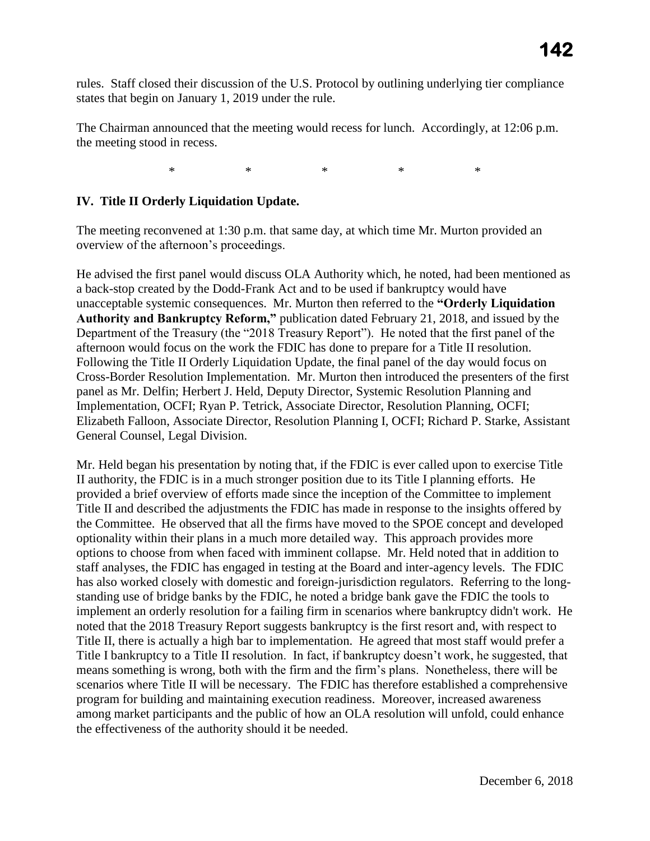states that begin on January 1, 2019 under the rule. rules. Staff closed their discussion of the U.S. Protocol by outlining underlying tier compliance

The Chairman announced that the meeting would recess for lunch. Accordingly, at 12:06 p.m. the meeting stood in recess.

> $\ast$ \* \* \* \* \*

#### **IV. Title II Orderly Liquidation Update.**

The meeting reconvened at 1:30 p.m. that same day, at which time Mr. Murton provided an overview of the afternoon's proceedings.

He advised the first panel would discuss OLA Authority which, he noted, had been mentioned as a back-stop created by the Dodd-Frank Act and to be used if bankruptcy would have unacceptable systemic consequences. Mr. Murton then referred to the **"Orderly Liquidation Authority and Bankruptcy Reform,"** publication dated February 21, 2018, and issued by the Department of the Treasury (the "2018 Treasury Report"). He noted that the first panel of the afternoon would focus on the work the FDIC has done to prepare for a Title II resolution. Following the Title II Orderly Liquidation Update, the final panel of the day would focus on Cross-Border Resolution Implementation. Mr. Murton then introduced the presenters of the first panel as Mr. Delfin; Herbert J. Held, Deputy Director, Systemic Resolution Planning and Implementation, OCFI; Ryan P. Tetrick, Associate Director, Resolution Planning, OCFI; Elizabeth Falloon, Associate Director, Resolution Planning I, OCFI; Richard P. Starke, Assistant General Counsel, Legal Division.

 Title II and described the adjustments the FDIC has made in response to the insights offered by Mr. Held began his presentation by noting that, if the FDIC is ever called upon to exercise Title II authority, the FDIC is in a much stronger position due to its Title I planning efforts. He provided a brief overview of efforts made since the inception of the Committee to implement the Committee. He observed that all the firms have moved to the SPOE concept and developed optionality within their plans in a much more detailed way. This approach provides more options to choose from when faced with imminent collapse. Mr. Held noted that in addition to staff analyses, the FDIC has engaged in testing at the Board and inter-agency levels. The FDIC has also worked closely with domestic and foreign-jurisdiction regulators. Referring to the longstanding use of bridge banks by the FDIC, he noted a bridge bank gave the FDIC the tools to implement an orderly resolution for a failing firm in scenarios where bankruptcy didn't work. He noted that the 2018 Treasury Report suggests bankruptcy is the first resort and, with respect to Title II, there is actually a high bar to implementation. He agreed that most staff would prefer a Title I bankruptcy to a Title II resolution. In fact, if bankruptcy doesn't work, he suggested, that means something is wrong, both with the firm and the firm's plans. Nonetheless, there will be scenarios where Title II will be necessary. The FDIC has therefore established a comprehensive program for building and maintaining execution readiness. Moreover, increased awareness among market participants and the public of how an OLA resolution will unfold, could enhance the effectiveness of the authority should it be needed.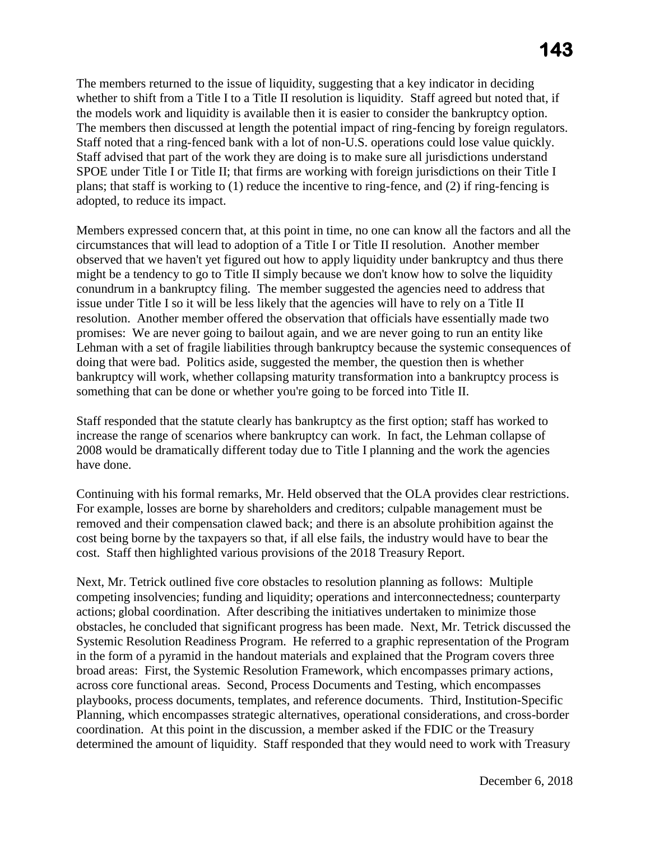SPOE under Title I or Title II; that firms are working with foreign jurisdictions on their Title I The members returned to the issue of liquidity, suggesting that a key indicator in deciding whether to shift from a Title I to a Title II resolution is liquidity. Staff agreed but noted that, if the models work and liquidity is available then it is easier to consider the bankruptcy option. The members then discussed at length the potential impact of ring-fencing by foreign regulators. Staff noted that a ring-fenced bank with a lot of non-U.S. operations could lose value quickly. Staff advised that part of the work they are doing is to make sure all jurisdictions understand plans; that staff is working to (1) reduce the incentive to ring-fence, and (2) if ring-fencing is adopted, to reduce its impact.

 issue under Title I so it will be less likely that the agencies will have to rely on a Title II something that can be done or whether you're going to be forced into Title II. Members expressed concern that, at this point in time, no one can know all the factors and all the circumstances that will lead to adoption of a Title I or Title II resolution. Another member observed that we haven't yet figured out how to apply liquidity under bankruptcy and thus there might be a tendency to go to Title II simply because we don't know how to solve the liquidity conundrum in a bankruptcy filing. The member suggested the agencies need to address that resolution. Another member offered the observation that officials have essentially made two promises: We are never going to bailout again, and we are never going to run an entity like Lehman with a set of fragile liabilities through bankruptcy because the systemic consequences of doing that were bad. Politics aside, suggested the member, the question then is whether bankruptcy will work, whether collapsing maturity transformation into a bankruptcy process is

 2008 would be dramatically different today due to Title I planning and the work the agencies Staff responded that the statute clearly has bankruptcy as the first option; staff has worked to increase the range of scenarios where bankruptcy can work. In fact, the Lehman collapse of have done.

 cost. Staff then highlighted various provisions of the 2018 Treasury Report. Continuing with his formal remarks, Mr. Held observed that the OLA provides clear restrictions. For example, losses are borne by shareholders and creditors; culpable management must be removed and their compensation clawed back; and there is an absolute prohibition against the cost being borne by the taxpayers so that, if all else fails, the industry would have to bear the

 broad areas: First, the Systemic Resolution Framework, which encompasses primary actions, Next, Mr. Tetrick outlined five core obstacles to resolution planning as follows: Multiple competing insolvencies; funding and liquidity; operations and interconnectedness; counterparty actions; global coordination. After describing the initiatives undertaken to minimize those obstacles, he concluded that significant progress has been made. Next, Mr. Tetrick discussed the Systemic Resolution Readiness Program. He referred to a graphic representation of the Program in the form of a pyramid in the handout materials and explained that the Program covers three across core functional areas. Second, Process Documents and Testing, which encompasses playbooks, process documents, templates, and reference documents. Third, Institution-Specific Planning, which encompasses strategic alternatives, operational considerations, and cross-border coordination. At this point in the discussion, a member asked if the FDIC or the Treasury determined the amount of liquidity. Staff responded that they would need to work with Treasury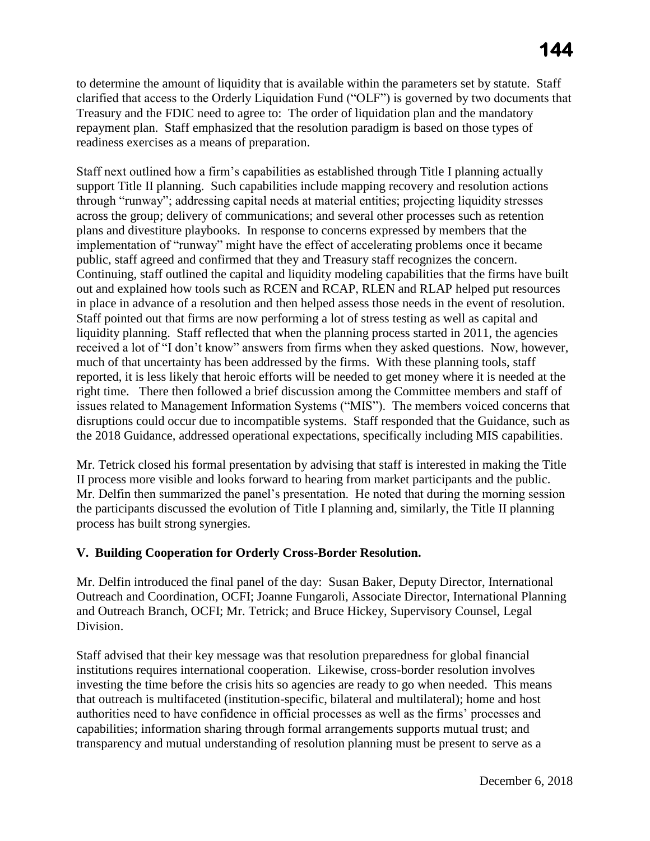to determine the amount of liquidity that is available within the parameters set by statute. Staff clarified that access to the Orderly Liquidation Fund ("OLF") is governed by two documents that Treasury and the FDIC need to agree to: The order of liquidation plan and the mandatory repayment plan. Staff emphasized that the resolution paradigm is based on those types of readiness exercises as a means of preparation.

 support Title II planning. Such capabilities include mapping recovery and resolution actions across the group; delivery of communications; and several other processes such as retention Staff next outlined how a firm's capabilities as established through Title I planning actually through "runway"; addressing capital needs at material entities; projecting liquidity stresses plans and divestiture playbooks. In response to concerns expressed by members that the implementation of "runway" might have the effect of accelerating problems once it became public, staff agreed and confirmed that they and Treasury staff recognizes the concern. Continuing, staff outlined the capital and liquidity modeling capabilities that the firms have built out and explained how tools such as RCEN and RCAP, RLEN and RLAP helped put resources in place in advance of a resolution and then helped assess those needs in the event of resolution. Staff pointed out that firms are now performing a lot of stress testing as well as capital and liquidity planning. Staff reflected that when the planning process started in 2011, the agencies received a lot of "I don't know" answers from firms when they asked questions. Now, however, much of that uncertainty has been addressed by the firms. With these planning tools, staff reported, it is less likely that heroic efforts will be needed to get money where it is needed at the right time. There then followed a brief discussion among the Committee members and staff of issues related to Management Information Systems ("MIS"). The members voiced concerns that disruptions could occur due to incompatible systems. Staff responded that the Guidance, such as the 2018 Guidance, addressed operational expectations, specifically including MIS capabilities.

Mr. Tetrick closed his formal presentation by advising that staff is interested in making the Title II process more visible and looks forward to hearing from market participants and the public. Mr. Delfin then summarized the panel's presentation. He noted that during the morning session the participants discussed the evolution of Title I planning and, similarly, the Title II planning process has built strong synergies.

# **V. Building Cooperation for Orderly Cross-Border Resolution.**

Mr. Delfin introduced the final panel of the day: Susan Baker, Deputy Director, International Outreach and Coordination, OCFI; Joanne Fungaroli, Associate Director, International Planning and Outreach Branch, OCFI; Mr. Tetrick; and Bruce Hickey, Supervisory Counsel, Legal Division.

Staff advised that their key message was that resolution preparedness for global financial institutions requires international cooperation. Likewise, cross-border resolution involves investing the time before the crisis hits so agencies are ready to go when needed. This means that outreach is multifaceted (institution-specific, bilateral and multilateral); home and host authorities need to have confidence in official processes as well as the firms' processes and capabilities; information sharing through formal arrangements supports mutual trust; and transparency and mutual understanding of resolution planning must be present to serve as a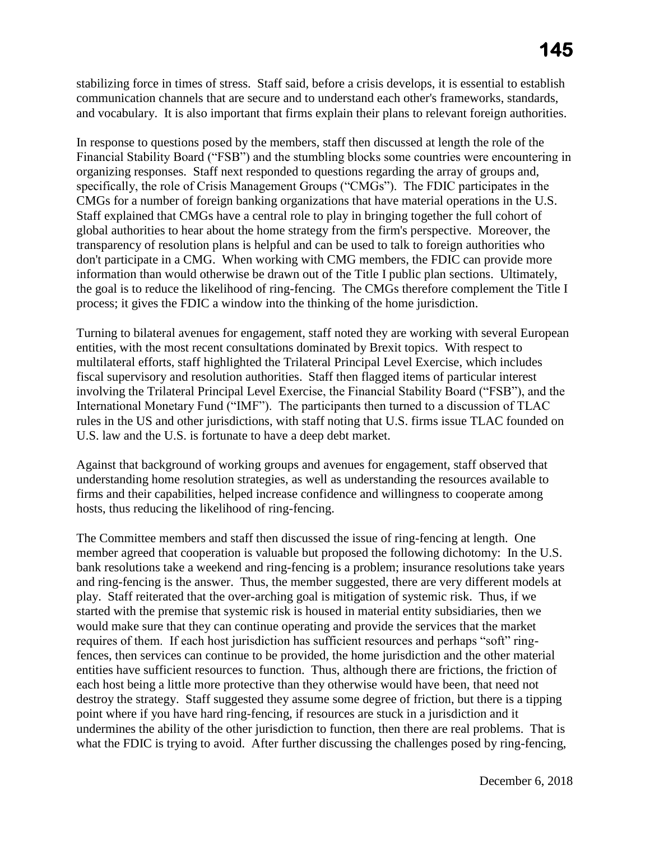stabilizing force in times of stress. Staff said, before a crisis develops, it is essential to establish communication channels that are secure and to understand each other's frameworks, standards, and vocabulary. It is also important that firms explain their plans to relevant foreign authorities.

 Staff explained that CMGs have a central role to play in bringing together the full cohort of In response to questions posed by the members, staff then discussed at length the role of the Financial Stability Board ("FSB") and the stumbling blocks some countries were encountering in organizing responses. Staff next responded to questions regarding the array of groups and, specifically, the role of Crisis Management Groups ("CMGs"). The FDIC participates in the CMGs for a number of foreign banking organizations that have material operations in the U.S. global authorities to hear about the home strategy from the firm's perspective. Moreover, the transparency of resolution plans is helpful and can be used to talk to foreign authorities who don't participate in a CMG. When working with CMG members, the FDIC can provide more information than would otherwise be drawn out of the Title I public plan sections. Ultimately, the goal is to reduce the likelihood of ring-fencing. The CMGs therefore complement the Title I process; it gives the FDIC a window into the thinking of the home jurisdiction.

 Turning to bilateral avenues for engagement, staff noted they are working with several European entities, with the most recent consultations dominated by Brexit topics. With respect to multilateral efforts, staff highlighted the Trilateral Principal Level Exercise, which includes fiscal supervisory and resolution authorities. Staff then flagged items of particular interest involving the Trilateral Principal Level Exercise, the Financial Stability Board ("FSB"), and the International Monetary Fund ("IMF"). The participants then turned to a discussion of TLAC rules in the US and other jurisdictions, with staff noting that U.S. firms issue TLAC founded on U.S. law and the U.S. is fortunate to have a deep debt market.

 Against that background of working groups and avenues for engagement, staff observed that understanding home resolution strategies, as well as understanding the resources available to firms and their capabilities, helped increase confidence and willingness to cooperate among hosts, thus reducing the likelihood of ring-fencing.

 and ring-fencing is the answer. Thus, the member suggested, there are very different models at what the FDIC is trying to avoid. After further discussing the challenges posed by ring-fencing, The Committee members and staff then discussed the issue of ring-fencing at length. One member agreed that cooperation is valuable but proposed the following dichotomy: In the U.S. bank resolutions take a weekend and ring-fencing is a problem; insurance resolutions take years play. Staff reiterated that the over-arching goal is mitigation of systemic risk. Thus, if we started with the premise that systemic risk is housed in material entity subsidiaries, then we would make sure that they can continue operating and provide the services that the market requires of them. If each host jurisdiction has sufficient resources and perhaps "soft" ringfences, then services can continue to be provided, the home jurisdiction and the other material entities have sufficient resources to function. Thus, although there are frictions, the friction of each host being a little more protective than they otherwise would have been, that need not destroy the strategy. Staff suggested they assume some degree of friction, but there is a tipping point where if you have hard ring-fencing, if resources are stuck in a jurisdiction and it undermines the ability of the other jurisdiction to function, then there are real problems. That is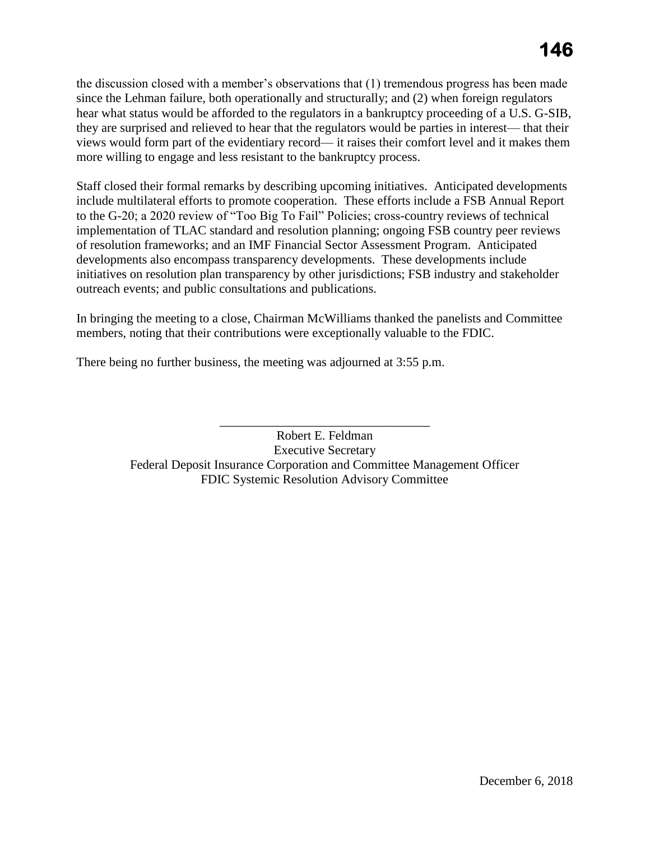they are surprised and relieved to hear that the regulators would be parties in interest— that their more willing to engage and less resistant to the bankruptcy process. the discussion closed with a member's observations that (1) tremendous progress has been made since the Lehman failure, both operationally and structurally; and (2) when foreign regulators hear what status would be afforded to the regulators in a bankruptcy proceeding of a U.S. G-SIB, views would form part of the evidentiary record— it raises their comfort level and it makes them

Staff closed their formal remarks by describing upcoming initiatives. Anticipated developments include multilateral efforts to promote cooperation. These efforts include a FSB Annual Report to the G-20; a 2020 review of "Too Big To Fail" Policies; cross-country reviews of technical implementation of TLAC standard and resolution planning; ongoing FSB country peer reviews of resolution frameworks; and an IMF Financial Sector Assessment Program. Anticipated developments also encompass transparency developments. These developments include initiatives on resolution plan transparency by other jurisdictions; FSB industry and stakeholder outreach events; and public consultations and publications.

 members, noting that their contributions were exceptionally valuable to the FDIC. In bringing the meeting to a close, Chairman McWilliams thanked the panelists and Committee

There being no further business, the meeting was adjourned at 3:55 p.m.

Robert E. Feldman Executive Secretary Federal Deposit Insurance Corporation and Committee Management Officer FDIC Systemic Resolution Advisory Committee

\_\_\_\_\_\_\_\_\_\_\_\_\_\_\_\_\_\_\_\_\_\_\_\_\_\_\_\_\_\_\_\_\_